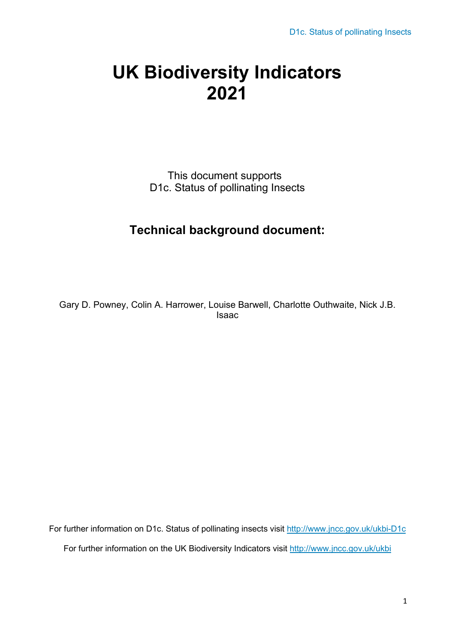# **UK Biodiversity Indicators 2021**

This document supports D1c. Status of pollinating Insects

# **Technical background document:**

Gary D. Powney, Colin A. Harrower, Louise Barwell, Charlotte Outhwaite, Nick J.B. Isaac

For further information on D1c. Status of pollinating insects visit<http://www.jncc.gov.uk/ukbi-D1c> For further information on the UK Biodiversity Indicators visit<http://www.jncc.gov.uk/ukbi>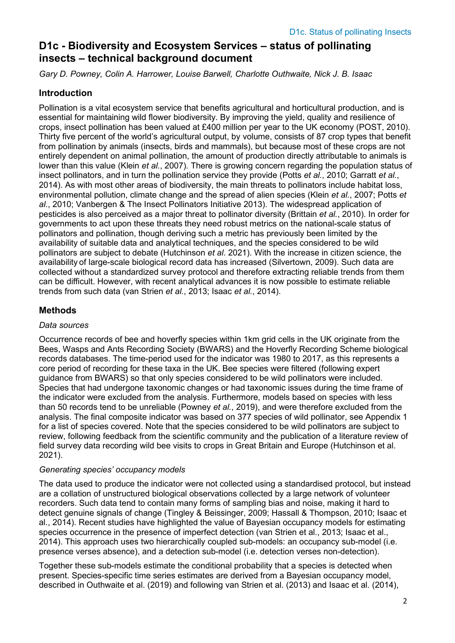## **D1c - Biodiversity and Ecosystem Services – status of pollinating insects – technical background document**

*Gary D. Powney, Colin A. Harrower, Louise Barwell, Charlotte Outhwaite, Nick J. B. Isaac*

#### **Introduction**

Pollination is a vital ecosystem service that benefits agricultural and horticultural production, and is essential for maintaining wild flower biodiversity. By improving the yield, quality and resilience of crops, insect pollination has been valued at £400 million per year to the UK economy (POST, 2010). Thirty five percent of the world's agricultural output, by volume, consists of 87 crop types that benefit from pollination by animals (insects, birds and mammals), but because most of these crops are not entirely dependent on animal pollination, the amount of production directly attributable to animals is lower than this value (Klein *et al.*, 2007). There is growing concern regarding the population status of insect pollinators, and in turn the pollination service they provide (Potts *et al.*, 2010; Garratt *et al.*, 2014). As with most other areas of biodiversity, the main threats to pollinators include habitat loss, environmental pollution, climate change and the spread of alien species (Klein *et al.*, 2007; Potts *et al.*, 2010; Vanbergen & The Insect Pollinators Initiative 2013). The widespread application of pesticides is also perceived as a major threat to pollinator diversity (Brittain *et al.*, 2010). In order for governments to act upon these threats they need robust metrics on the national-scale status of pollinators and pollination, though deriving such a metric has previously been limited by the availability of suitable data and analytical techniques, and the species considered to be wild pollinators are subject to debate (Hutchinson *et al*. 2021). With the increase in citizen science, the availability of large-scale biological record data has increased (Silvertown, 2009). Such data are collected without a standardized survey protocol and therefore extracting reliable trends from them can be difficult. However, with recent analytical advances it is now possible to estimate reliable trends from such data (van Strien *et al.*, 2013; Isaac *et al.*, 2014).

### **Methods**

#### *Data sources*

Occurrence records of bee and hoverfly species within 1km grid cells in the UK originate from the Bees, Wasps and Ants Recording Society (BWARS) and the Hoverfly Recording Scheme biological records databases. The time-period used for the indicator was 1980 to 2017, as this represents a core period of recording for these taxa in the UK. Bee species were filtered (following expert guidance from BWARS) so that only species considered to be wild pollinators were included. Species that had undergone taxonomic changes or had taxonomic issues during the time frame of the indicator were excluded from the analysis. Furthermore, models based on species with less than 50 records tend to be unreliable (Powney *et al.*, 2019), and were therefore excluded from the analysis. The final composite indicator was based on 377 species of wild pollinator, see Appendix 1 for a list of species covered. Note that the species considered to be wild pollinators are subject to review, following feedback from the scientific community and the publication of a literature review of field survey data recording wild bee visits to crops in Great Britain and Europe (Hutchinson et al. 2021).

#### *Generating species' occupancy models*

The data used to produce the indicator were not collected using a standardised protocol, but instead are a collation of unstructured biological observations collected by a large network of volunteer recorders. Such data tend to contain many forms of sampling bias and noise, making it hard to detect genuine signals of change (Tingley & Beissinger, 2009; Hassall & Thompson, 2010; Isaac et al., 2014). Recent studies have highlighted the value of Bayesian occupancy models for estimating species occurrence in the presence of imperfect detection (van Strien et al., 2013; Isaac et al., 2014). This approach uses two hierarchically coupled sub-models: an occupancy sub-model (i.e. presence verses absence), and a detection sub-model (i.e. detection verses non-detection).

Together these sub-models estimate the conditional probability that a species is detected when present. Species-specific time series estimates are derived from a Bayesian occupancy model, described in Outhwaite et al. (2019) and following van Strien et al. (2013) and Isaac et al. (2014),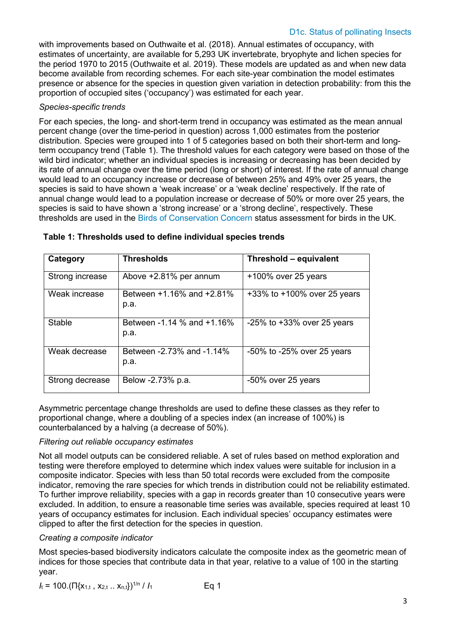with improvements based on Outhwaite et al. (2018). Annual estimates of occupancy, with estimates of uncertainty, are available for 5,293 UK invertebrate, bryophyte and lichen species for the period 1970 to 2015 (Outhwaite et al. 2019). These models are updated as and when new data become available from recording schemes. For each site-year combination the model estimates presence or absence for the species in question given variation in detection probability: from this the proportion of occupied sites ('occupancy') was estimated for each year.

#### *Species-specific trends*

For each species, the long- and short-term trend in occupancy was estimated as the mean annual percent change (over the time-period in question) across 1,000 estimates from the posterior distribution. Species were grouped into 1 of 5 categories based on both their short-term and longterm occupancy trend (Table 1). The threshold values for each category were based on those of the wild bird indicator; whether an individual species is increasing or decreasing has been decided by its rate of annual change over the time period (long or short) of interest. If the rate of annual change would lead to an occupancy increase or decrease of between 25% and 49% over 25 years, the species is said to have shown a 'weak increase' or a 'weak decline' respectively. If the rate of annual change would lead to a population increase or decrease of 50% or more over 25 years, the species is said to have shown a 'strong increase' or a 'strong decline', respectively. These thresholds are used in the [Birds of Conservation Concern s](http://www.bto.org/sites/default/files/u12/bocc3.pdf)tatus assessment for birds in the UK.

| Category        | <b>Thresholds</b>                  | Threshold - equivalent           |
|-----------------|------------------------------------|----------------------------------|
| Strong increase | Above +2.81% per annum             | +100% over 25 years              |
| Weak increase   | Between +1.16% and +2.81%<br>p.a.  | +33% to +100% over 25 years      |
| Stable          | Between -1.14 % and +1.16%<br>p.a. | $-25\%$ to $+33\%$ over 25 years |
| Weak decrease   | Between -2.73% and -1.14%<br>p.a.  | $-50\%$ to $-25\%$ over 25 years |
| Strong decrease | Below -2.73% p.a.                  | -50% over 25 years               |

| Table 1: Thresholds used to define individual species trends |  |  |  |  |
|--------------------------------------------------------------|--|--|--|--|
|--------------------------------------------------------------|--|--|--|--|

Asymmetric percentage change thresholds are used to define these classes as they refer to proportional change, where a doubling of a species index (an increase of 100%) is counterbalanced by a halving (a decrease of 50%).

#### *Filtering out reliable occupancy estimates*

Not all model outputs can be considered reliable. A set of rules based on method exploration and testing were therefore employed to determine which index values were suitable for inclusion in a composite indicator. Species with less than 50 total records were excluded from the composite indicator, removing the rare species for which trends in distribution could not be reliability estimated. To further improve reliability, species with a gap in records greater than 10 consecutive years were excluded. In addition, to ensure a reasonable time series was available, species required at least 10 years of occupancy estimates for inclusion. Each individual species' occupancy estimates were clipped to after the first detection for the species in question.

#### *Creating a composite indicator*

Most species-based biodiversity indicators calculate the composite index as the geometric mean of indices for those species that contribute data in that year, relative to a value of 100 in the starting year.

$$
I_{t} = 100.(\Pi\{x_{1,t}, x_{2,t} ... x_{n,t}\})^{1/n} / I_{1}
$$
 Eq 1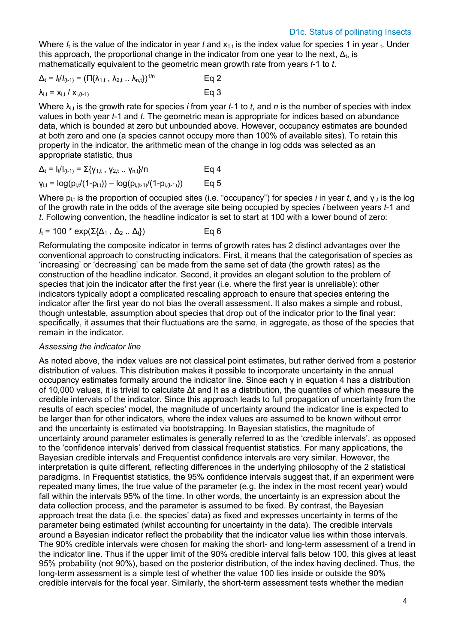Where *I<sub>t</sub>* is the value of the indicator in year *t* and  $x_{1,t}$  is the index value for species 1 in year t. Under this approach, the proportional change in the indicator from one year to the next,  $\Delta_{t}$ , is mathematically equivalent to the geometric mean growth rate from years *t*-1 to *t*.

$$
\Delta_{t} = I_{t}/I_{(t-1)} = (\Pi\{\lambda_{1,t}, \lambda_{2,t} ... \lambda_{n,t}\})^{1/n}
$$
 Eq 2  

$$
\lambda_{i,t} = x_{i,t}/x_{i,(t-1)}
$$
 Eq 3

Where λi,t is the growth rate for species *i* from year *t*-1 to *t*, and *n* is the number of species with index values in both year *t*-1 and *t*. The geometric mean is appropriate for indices based on abundance data, which is bounded at zero but unbounded above. However, occupancy estimates are bounded at both zero and one (a species cannot occupy more than 100% of available sites). To retain this property in the indicator, the arithmetic mean of the change in log odds was selected as an appropriate statistic, thus

$$
\Delta_{t} = I_{t}/I_{(t-1)} = \sum \{ \gamma_{1,t} , \gamma_{2,t} ... \gamma_{n,t} \} / n
$$
\n
$$
= \log(p_{i,t}/(1-p_{i,t})) - \log(p_{i,(t-1)}/(1-p_{i,(t-1)}))
$$
\n
$$
= \log(5)
$$

Where p<sub>i,t</sub> is the proportion of occupied sites (i.e. "occupancy") for species *i* in year *t*, and γ<sub>i,t</sub> is the log of the growth rate in the odds of the average site being occupied by species *i* between years *t*-1 and *t*. Following convention, the headline indicator is set to start at 100 with a lower bound of zero:

$$
I_t = 100 \cdot \exp(\Sigma \{\Delta_1, \Delta_2 ... \Delta_t\})
$$
 Eq 6

Reformulating the composite indicator in terms of growth rates has 2 distinct advantages over the conventional approach to constructing indicators. First, it means that the categorisation of species as 'increasing' or 'decreasing' can be made from the same set of data (the growth rates) as the construction of the headline indicator. Second, it provides an elegant solution to the problem of species that join the indicator after the first year (i.e. where the first year is unreliable): other indicators typically adopt a complicated rescaling approach to ensure that species entering the indicator after the first year do not bias the overall assessment. It also makes a simple and robust, though untestable, assumption about species that drop out of the indicator prior to the final year: specifically, it assumes that their fluctuations are the same, in aggregate, as those of the species that remain in the indicator.

#### *Assessing the indicator line*

As noted above, the index values are not classical point estimates, but rather derived from a posterior distribution of values. This distribution makes it possible to incorporate uncertainty in the annual occupancy estimates formally around the indicator line. Since each γ in equation 4 has a distribution of 10,000 values, it is trivial to calculate Δt and It as a distribution, the quantiles of which measure the credible intervals of the indicator. Since this approach leads to full propagation of uncertainty from the results of each species' model, the magnitude of uncertainty around the indicator line is expected to be larger than for other indicators, where the index values are assumed to be known without error and the uncertainty is estimated via bootstrapping. In Bayesian statistics, the magnitude of uncertainty around parameter estimates is generally referred to as the 'credible intervals', as opposed to the 'confidence intervals' derived from classical frequentist statistics. For many applications, the Bayesian credible intervals and Frequentist confidence intervals are very similar. However, the interpretation is quite different, reflecting differences in the underlying philosophy of the 2 statistical paradigms. In Frequentist statistics, the 95% confidence intervals suggest that, if an experiment were repeated many times, the true value of the parameter (e.g. the index in the most recent year) would fall within the intervals 95% of the time. In other words, the uncertainty is an expression about the data collection process, and the parameter is assumed to be fixed. By contrast, the Bayesian approach treat the data (i.e. the species' data) as fixed and expresses uncertainty in terms of the parameter being estimated (whilst accounting for uncertainty in the data). The credible intervals around a Bayesian indicator reflect the probability that the indicator value lies within those intervals. The 90% credible intervals were chosen for making the short- and long-term assessment of a trend in the indicator line. Thus if the upper limit of the 90% credible interval falls below 100, this gives at least 95% probability (not 90%), based on the posterior distribution, of the index having declined. Thus, the long-term assessment is a simple test of whether the value 100 lies inside or outside the 90% credible intervals for the focal year. Similarly, the short-term assessment tests whether the median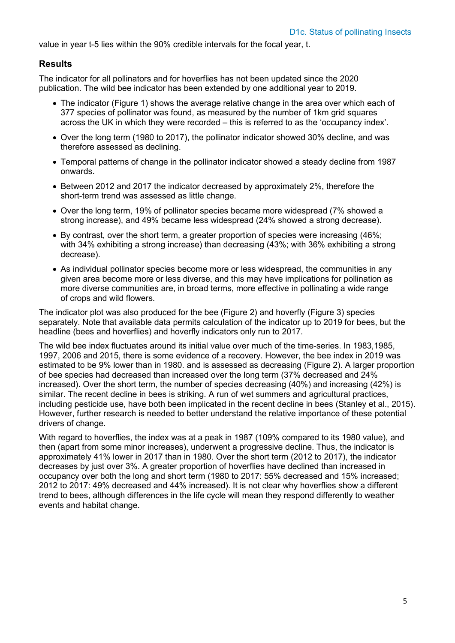value in year t-5 lies within the 90% credible intervals for the focal year, t.

#### **Results**

The indicator for all pollinators and for hoverflies has not been updated since the 2020 publication. The wild bee indicator has been extended by one additional year to 2019.

- The indicator (Figure 1) shows the average relative change in the area over which each of 377 species of pollinator was found, as measured by the number of 1km grid squares across the UK in which they were recorded – this is referred to as the 'occupancy index'.
- Over the long term (1980 to 2017), the pollinator indicator showed 30% decline, and was therefore assessed as declining.
- Temporal patterns of change in the pollinator indicator showed a steady decline from 1987 onwards.
- Between 2012 and 2017 the indicator decreased by approximately 2%, therefore the short-term trend was assessed as little change.
- Over the long term, 19% of pollinator species became more widespread (7% showed a strong increase), and 49% became less widespread (24% showed a strong decrease).
- By contrast, over the short term, a greater proportion of species were increasing (46%; with 34% exhibiting a strong increase) than decreasing (43%; with 36% exhibiting a strong decrease).
- As individual pollinator species become more or less widespread, the communities in any given area become more or less diverse, and this may have implications for pollination as more diverse communities are, in broad terms, more effective in pollinating a wide range of crops and wild flowers.

The indicator plot was also produced for the bee (Figure 2) and hoverfly (Figure 3) species separately. Note that available data permits calculation of the indicator up to 2019 for bees, but the headline (bees and hoverflies) and hoverfly indicators only run to 2017.

The wild bee index fluctuates around its initial value over much of the time-series. In 1983,1985, 1997, 2006 and 2015, there is some evidence of a recovery. However, the bee index in 2019 was estimated to be 9% lower than in 1980. and is assessed as decreasing (Figure 2). A larger proportion of bee species had decreased than increased over the long term (37% decreased and 24% increased). Over the short term, the number of species decreasing (40%) and increasing (42%) is similar. The recent decline in bees is striking. A run of wet summers and agricultural practices, including pesticide use, have both been implicated in the recent decline in bees (Stanley et al., 2015). However, further research is needed to better understand the relative importance of these potential drivers of change.

With regard to hoverflies, the index was at a peak in 1987 (109% compared to its 1980 value), and then (apart from some minor increases), underwent a progressive decline. Thus, the indicator is approximately 41% lower in 2017 than in 1980. Over the short term (2012 to 2017), the indicator decreases by just over 3%. A greater proportion of hoverflies have declined than increased in occupancy over both the long and short term (1980 to 2017: 55% decreased and 15% increased; 2012 to 2017: 49% decreased and 44% increased). It is not clear why hoverflies show a different trend to bees, although differences in the life cycle will mean they respond differently to weather events and habitat change.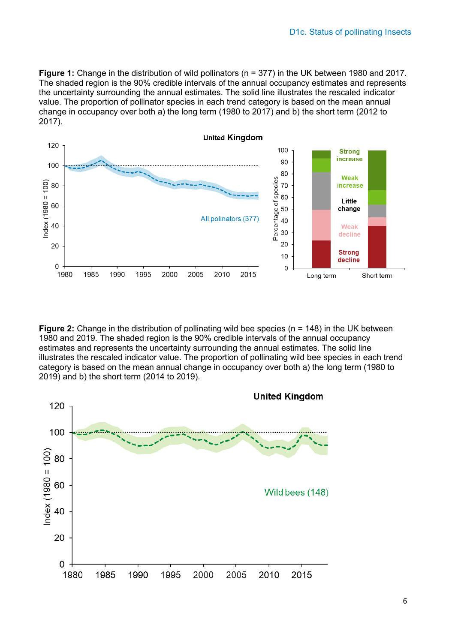**Figure 1:** Change in the distribution of wild pollinators (n = 377) in the UK between 1980 and 2017. The shaded region is the 90% credible intervals of the annual occupancy estimates and represents the uncertainty surrounding the annual estimates. The solid line illustrates the rescaled indicator value. The proportion of pollinator species in each trend category is based on the mean annual change in occupancy over both a) the long term (1980 to 2017) and b) the short term (2012 to 2017).



**Figure 2:** Change in the distribution of pollinating wild bee species (n = 148) in the UK between 1980 and 2019. The shaded region is the 90% credible intervals of the annual occupancy estimates and represents the uncertainty surrounding the annual estimates. The solid line illustrates the rescaled indicator value. The proportion of pollinating wild bee species in each trend category is based on the mean annual change in occupancy over both a) the long term (1980 to 2019) and b) the short term (2014 to 2019).

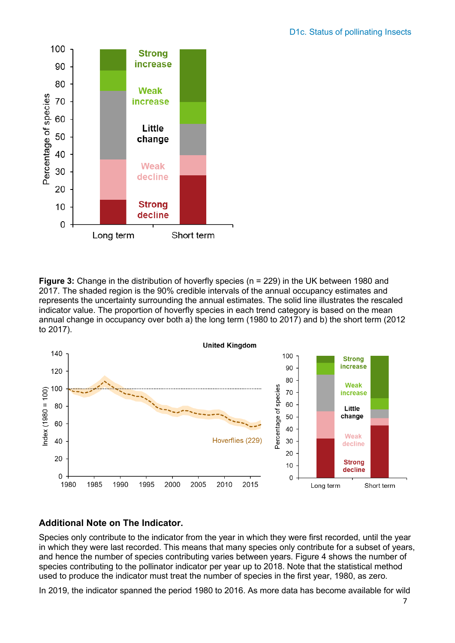

**Figure 3:** Change in the distribution of hoverfly species (n = 229) in the UK between 1980 and 2017. The shaded region is the 90% credible intervals of the annual occupancy estimates and represents the uncertainty surrounding the annual estimates. The solid line illustrates the rescaled indicator value. The proportion of hoverfly species in each trend category is based on the mean annual change in occupancy over both a) the long term (1980 to 2017) and b) the short term (2012 to 2017).



#### **Additional Note on The Indicator.**

Species only contribute to the indicator from the year in which they were first recorded, until the year in which they were last recorded. This means that many species only contribute for a subset of years, and hence the number of species contributing varies between years. Figure 4 shows the number of species contributing to the pollinator indicator per year up to 2018. Note that the statistical method used to produce the indicator must treat the number of species in the first year, 1980, as zero.

In 2019, the indicator spanned the period 1980 to 2016. As more data has become available for wild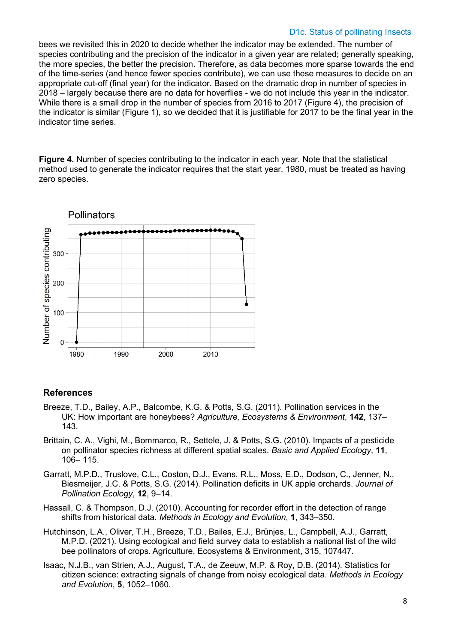#### D1c. Status of pollinating Insects

bees we revisited this in 2020 to decide whether the indicator may be extended. The number of species contributing and the precision of the indicator in a given year are related; generally speaking, the more species, the better the precision. Therefore, as data becomes more sparse towards the end of the time-series (and hence fewer species contribute), we can use these measures to decide on an appropriate cut-off (final year) for the indicator. Based on the dramatic drop in number of species in 2018 – largely because there are no data for hoverflies - we do not include this year in the indicator. While there is a small drop in the number of species from 2016 to 2017 (Figure 4), the precision of the indicator is similar (Figure 1), so we decided that it is justifiable for 2017 to be the final year in the indicator time series.

**Figure 4.** Number of species contributing to the indicator in each year. Note that the statistical method used to generate the indicator requires that the start year, 1980, must be treated as having zero species.



#### **References**

- Breeze, T.D., Bailey, A.P., Balcombe, K.G. & Potts, S.G. (2011). Pollination services in the UK: How important are honeybees? *Agriculture, Ecosystems & Environment*, **142**, 137– 143.
- Brittain, C. A., Vighi, M., Bommarco, R., Settele, J. & Potts, S.G. (2010). Impacts of a pesticide on pollinator species richness at different spatial scales. *Basic and Applied Ecology*, **11**, 106– 115.
- Garratt, M.P.D., Truslove, C.L., Coston, D.J., Evans, R.L., Moss, E.D., Dodson, C., Jenner, N., Biesmeijer, J.C. & Potts, S.G. (2014). Pollination deficits in UK apple orchards. *Journal of Pollination Ecology*, **12**, 9–14.
- Hassall, C. & Thompson, D.J. (2010). Accounting for recorder effort in the detection of range shifts from historical data. *Methods in Ecology and Evolution*, **1**, 343–350.
- Hutchinson, L.A., Oliver, T.H., Breeze, T.D., Bailes, E.J., Brünjes, L., Campbell, A.J., Garratt, M.P.D. (2021). Using ecological and field survey data to establish a national list of the wild bee pollinators of crops. Agriculture, Ecosystems & Environment, 315, 107447.
- Isaac, N.J.B., van Strien, A.J., August, T.A., de Zeeuw, M.P. & Roy, D.B. (2014). Statistics for citizen science: extracting signals of change from noisy ecological data. *Methods in Ecology and Evolution*, **5**, 1052–1060.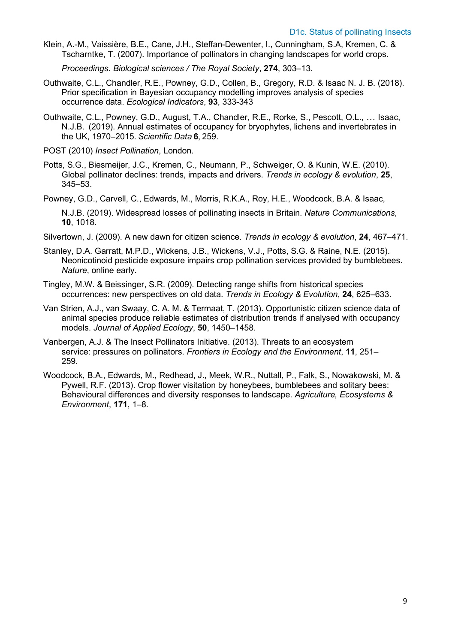Klein, A.-M., Vaissière, B.E., Cane, J.H., Steffan-Dewenter, I., Cunningham, S.A, Kremen, C. & Tscharntke, T. (2007). Importance of pollinators in changing landscapes for world crops.

*Proceedings. Biological sciences / The Royal Society*, **274**, 303–13.

- Outhwaite, C.L., Chandler, R.E., Powney, G.D., Collen, B., Gregory, R.D. & Isaac N. J. B. (2018). Prior specification in Bayesian occupancy modelling improves analysis of species occurrence data. *Ecological Indicators*, **93**, 333-343
- Outhwaite, C.L., Powney, G.D., August, T.A., Chandler, R.E., Rorke, S., Pescott, O.L., … Isaac, N.J.B.  (2019). Annual estimates of occupancy for bryophytes, lichens and invertebrates in the UK, 1970–2015. *Scientific Data* **6**, 259.
- POST (2010) *Insect Pollination*, London.
- Potts, S.G., Biesmeijer, J.C., Kremen, C., Neumann, P., Schweiger, O. & Kunin, W.E. (2010). Global pollinator declines: trends, impacts and drivers. *Trends in ecology & evolution*, **25**, 345–53.
- Powney, G.D., Carvell, C., Edwards, M., Morris, R.K.A., Roy, H.E., Woodcock, B.A. & Isaac, N.J.B. (2019). Widespread losses of pollinating insects in Britain. *Nature Communications*, **10**, 1018.
- Silvertown, J. (2009). A new dawn for citizen science. *Trends in ecology & evolution*, **24**, 467–471.
- Stanley, D.A. Garratt, M.P.D., Wickens, J.B., Wickens, V.J., Potts, S.G. & Raine, N.E. (2015). Neonicotinoid pesticide exposure impairs crop pollination services provided by bumblebees. *Nature*, online early.
- Tingley, M.W. & Beissinger, S.R. (2009). Detecting range shifts from historical species occurrences: new perspectives on old data. *Trends in Ecology & Evolution*, **24**, 625–633.
- Van Strien, A.J., van Swaay, C. A. M. & Termaat, T. (2013). Opportunistic citizen science data of animal species produce reliable estimates of distribution trends if analysed with occupancy models. *Journal of Applied Ecology*, **50**, 1450–1458.
- Vanbergen, A.J. & The Insect Pollinators Initiative. (2013). Threats to an ecosystem service: pressures on pollinators. *Frontiers in Ecology and the Environment*, **11**, 251– 259.
- Woodcock, B.A., Edwards, M., Redhead, J., Meek, W.R., Nuttall, P., Falk, S., Nowakowski, M. & Pywell, R.F. (2013). Crop flower visitation by honeybees, bumblebees and solitary bees: Behavioural differences and diversity responses to landscape. *Agriculture, Ecosystems & Environment*, **171**, 1–8.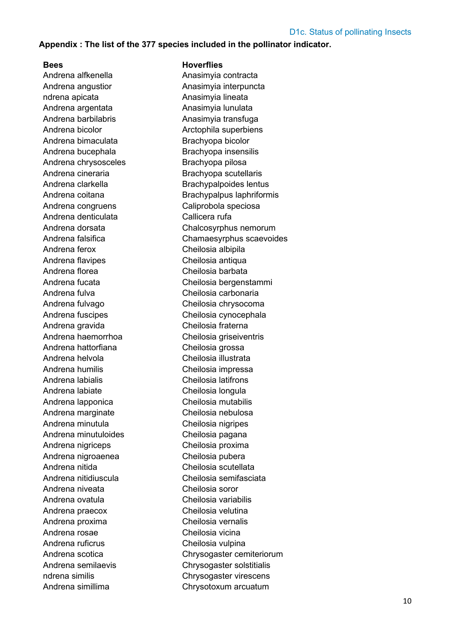#### **Appendix : The list of the 377 species included in the pollinator indicator.**

Andrena alfkenella Anasimvia contracta Andrena angustior **Anasimyia** interpuncta ndrena apicata **Anasimyia lineata** Andrena argentata Anasimyia lunulata Andrena barbilabris **Anasimyia** transfuga Andrena bicolor **Arctophila** superbiens Andrena bimaculata Brachyopa bicolor Andrena bucephala Brachyopa insensilis Andrena chrysosceles Brachyopa pilosa Andrena cineraria **Brachyopa** scutellaris Andrena clarkella Brachypalpoides lentus Andrena congruens Caliprobola speciosa Andrena denticulata Callicera rufa Andrena ferox Cheilosia albipila Andrena flavipes Cheilosia antiqua Andrena florea Cheilosia barbata Andrena fulva Cheilosia carbonaria Andrena fulvago Cheilosia chrysocoma Andrena fuscipes Cheilosia cynocephala Andrena gravida Cheilosia fraterna Andrena haemorrhoa Cheilosia griseiventris Andrena hattorfiana Cheilosia grossa Andrena helvola Cheilosia illustrata Andrena humilis Cheilosia impressa Andrena labialis Cheilosia latifrons Andrena labiate Cheilosia longula Andrena lapponica Cheilosia mutabilis Andrena marginate Cheilosia nebulosa Andrena minutula Cheilosia nigripes Andrena minutuloides Cheilosia pagana Andrena nigriceps Cheilosia proxima Andrena nigroaenea Cheilosia pubera Andrena nitida Cheilosia scutellata Andrena nitidiuscula Cheilosia semifasciata Andrena niveata Cheilosia soror Andrena ovatula Cheilosia variabilis Andrena praecox Cheilosia velutina Andrena proxima Cheilosia vernalis Andrena rosae Cheilosia vicina Andrena ruficrus Cheilosia vulpina

#### **Bees Hoverflies**

Andrena coitana **Brachypalpus** laphriformis Andrena dorsata Chalcosyrphus nemorum Andrena falsifica Chamaesyrphus scaevoides Andrena fucata Cheilosia bergenstammi Andrena scotica Chrysogaster cemiteriorum Andrena semilaevis Chrysogaster solstitialis ndrena similis Chrysogaster virescens Andrena simillima Chrysotoxum arcuatum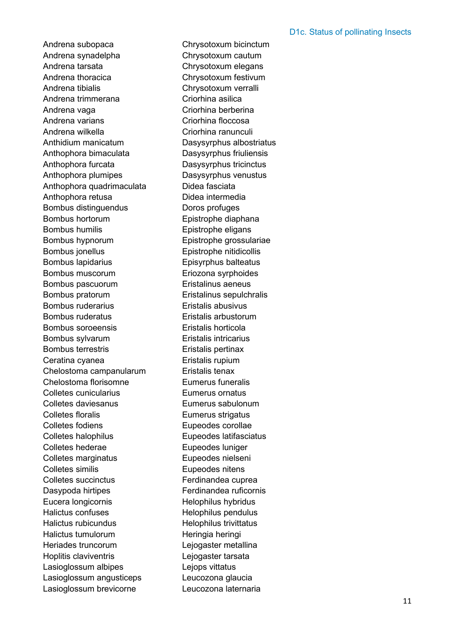Andrena subopaca Chrysotoxum bicinctum Andrena synadelpha Chrysotoxum cautum Andrena tarsata Chrysotoxum elegans Andrena thoracica Chrysotoxum festivum Andrena tibialis Chrysotoxum verralli Andrena trimmerana Criorhina asilica Andrena vaga **Criorhina** berberina Andrena varians **Criorhina** floccosa Andrena wilkella **Criorhina ranunculi** Anthidium manicatum Dasysyrphus albostriatus Anthophora bimaculata Dasysyrphus friuliensis Anthophora furcata Dasysyrphus tricinctus Anthophora plumipes Dasysyrphus venustus Anthophora quadrimaculata Didea fasciata Anthophora retusa **Didea** intermedia Bombus distinguendus Doros profuges Bombus hortorum Epistrophe diaphana Bombus humilis Epistrophe eligans Bombus hypnorum Epistrophe grossulariae Bombus jonellus Epistrophe nitidicollis Bombus lapidarius Episyrphus balteatus Bombus muscorum Eriozona syrphoides Bombus pascuorum Eristalinus aeneus Bombus pratorum Eristalinus sepulchralis Bombus ruderarius Eristalis abusivus Bombus ruderatus Eristalis arbustorum Bombus soroeensis Eristalis horticola Bombus sylvarum Eristalis intricarius Bombus terrestris Eristalis pertinax Ceratina cyanea **Eristalis** rupium Chelostoma campanularum Eristalis tenax Chelostoma florisomne Eumerus funeralis Colletes cunicularius Eumerus ornatus Colletes daviesanus Eumerus sabulonum Colletes floralis **Eumerus** strigatus Colletes fodiens **Eupeodes** corollae Colletes halophilus Eupeodes latifasciatus Colletes hederae Eupeodes luniger Colletes marginatus Eupeodes nielseni Colletes similis **Eupeodes** nitens Colletes succinctus **Ferdinandea** cuprea Dasypoda hirtipes Ferdinandea ruficornis Eucera longicornis Helophilus hybridus Halictus confuses The Helophilus pendulus Halictus rubicundus etteratus Helophilus trivittatus Halictus tumulorum Heringia heringi Heriades truncorum Lejogaster metallina Hoplitis claviventris Lejogaster tarsata Lasioglossum albipes **Legops** vittatus Lasioglossum angusticeps Leucozona glaucia Lasioglossum brevicorne Leucozona laternaria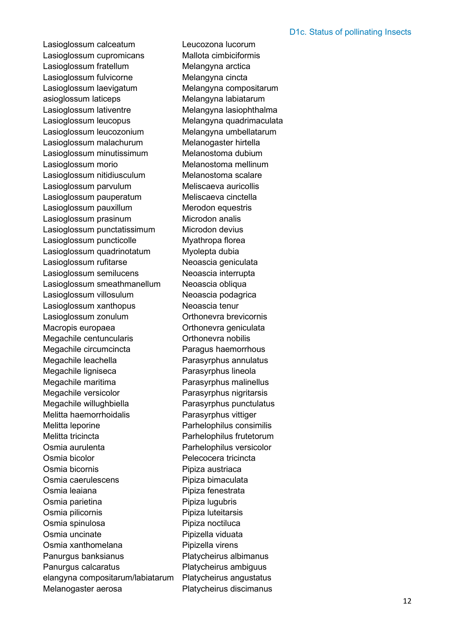Lasioglossum calceatum Leucozona lucorum Lasioglossum cupromicans Mallota cimbiciformis Lasioglossum fratellum Melangyna arctica Lasioglossum fulvicorne Melangyna cincta Lasioglossum laevigatum Melangyna compositarum asioglossum laticeps Melangyna labiatarum Lasioglossum lativentre Melangyna lasiophthalma Lasioglossum leucopus Melangyna quadrimaculata Lasioglossum leucozonium Melangyna umbellatarum Lasioglossum malachurum Melanogaster hirtella Lasioglossum minutissimum Melanostoma dubium Lasioglossum morio Melanostoma mellinum Lasioglossum nitidiusculum Melanostoma scalare Lasioglossum parvulum Meliscaeva auricollis Lasioglossum pauperatum Meliscaeva cinctella Lasioglossum pauxillum Merodon equestris Lasioglossum prasinum Microdon analis Lasioglossum punctatissimum Microdon devius Lasioglossum puncticolle Myathropa florea Lasioglossum quadrinotatum Myolepta dubia Lasioglossum rufitarse Neoascia geniculata Lasioglossum semilucens Neoascia interrupta Lasioglossum smeathmanellum Neoascia obliqua Lasioglossum villosulum Neoascia podagrica Lasioglossum xanthopus Neoascia tenur Lasioglossum zonulum **Orthonevra brevicornis** Macropis europaea **Macropis** europaea **Nacropis** europaea Megachile centuncularis **National Continuity** Orthonevra nobilis Megachile circumcincta Paragus haemorrhous Megachile leachella Parasyrphus annulatus Megachile ligniseca Parasyrphus lineola Megachile maritima Parasyrphus malinellus Megachile versicolor **Parasyrphus nigritarsis** Megachile willughbiella Parasyrphus punctulatus Melitta haemorrhoidalis Parasyrphus vittiger Melitta leporine Parhelophilus consimilis Melitta tricincta Parhelophilus frutetorum Osmia aurulenta Parhelophilus versicolor Osmia bicolor Pelecocera tricincta Osmia bicornis **Pipiza** austriaca Osmia caerulescens **Pipiza bimaculata** Osmia leaiana **Pipiza fenestrata** Osmia parietina **Pipiza lugubris** Osmia pilicornis **Pipiza** luteitarsis Osmia spinulosa **Pipiza noctiluca** Osmia uncinate Pipizella viduata Osmia xanthomelana Pipizella virens Panurgus banksianus Platycheirus albimanus Panurgus calcaratus Platycheirus ambiguus elangyna compositarum/labiatarum Platycheirus angustatus

Melanogaster aerosa Platycheirus discimanus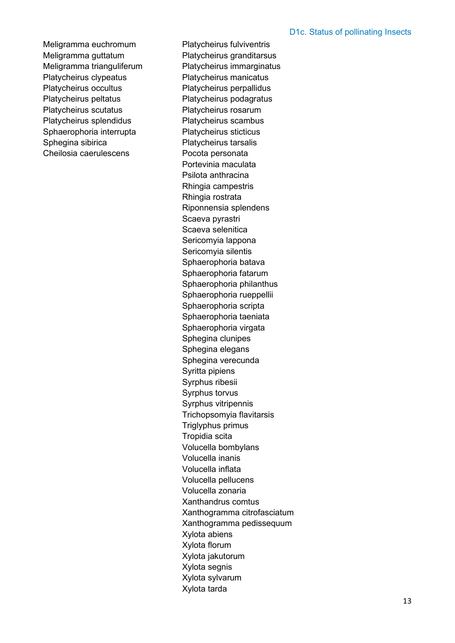Meligramma euchromum Platycheirus fulviventris Meligramma guttatum Platycheirus granditarsus Meligramma trianguliferum Platycheirus immarginatus Platycheirus clypeatus Platycheirus manicatus Platycheirus occultus Platycheirus perpallidus Platycheirus peltatus Platycheirus podagratus Platycheirus scutatus Platycheirus rosarum Platycheirus splendidus Platycheirus scambus Sphaerophoria interrupta Platycheirus sticticus Sphegina sibirica Platycheirus tarsalis Cheilosia caerulescens Pocota personata

Portevinia maculata Psilota anthracina Rhingia campestris Rhingia rostrata Riponnensia splendens Scaeva pyrastri Scaeva selenitica Sericomyia lappona Sericomyia silentis Sphaerophoria batava Sphaerophoria fatarum Sphaerophoria philanthus Sphaerophoria rueppellii Sphaerophoria scripta Sphaerophoria taeniata Sphaerophoria virgata Sphegina clunipes Sphegina elegans Sphegina verecunda Syritta pipiens Syrphus ribesii Syrphus torvus Syrphus vitripennis Trichopsomyia flavitarsis Triglyphus primus Tropidia scita Volucella bombylans Volucella inanis Volucella inflata Volucella pellucens Volucella zonaria Xanthandrus comtus Xanthogramma citrofasciatum Xanthogramma pedissequum Xylota abiens Xylota florum Xylota jakutorum Xylota segnis Xylota sylvarum Xylota tarda